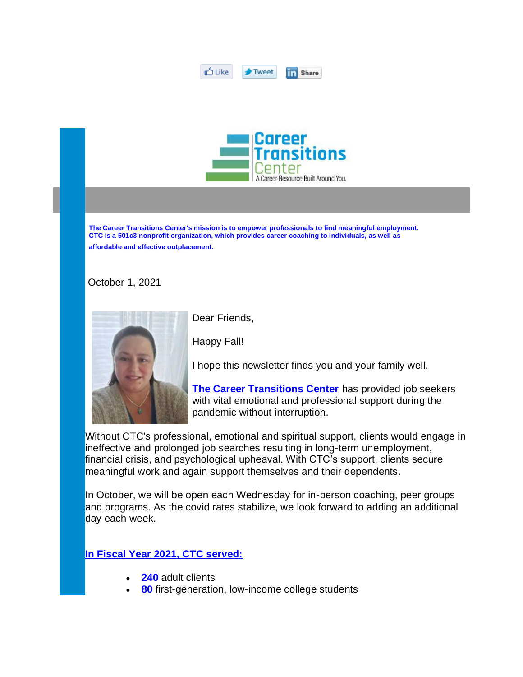| .<br><b>IT 1</b><br>. . |  |  |
|-------------------------|--|--|
|-------------------------|--|--|



 **The Career Transitions Center's mission is to empower professionals to find meaningful employment. CTC is a 501c3 nonprofit organization, which provides career coaching to individuals, as well as affordable and effective outplacement.** 

October 1, 2021



Dear Friends,

Happy Fall!

I hope this newsletter finds you and your family well.

**The Career Transitions Center** has provided job seekers with vital emotional and professional support during the pandemic without interruption.

Without CTC's professional, emotional and spiritual support, clients would engage in ineffective and prolonged job searches resulting in long-term unemployment, financial crisis, and psychological upheaval. With CTC's support, clients secure meaningful work and again support themselves and their dependents.

In October, we will be open each Wednesday for in-person coaching, peer groups and programs. As the covid rates stabilize, we look forward to adding an additional day each week.

## **In Fiscal Year 2021, CTC served:**

- **240** adult clients
- **80** first-generation, low-income college students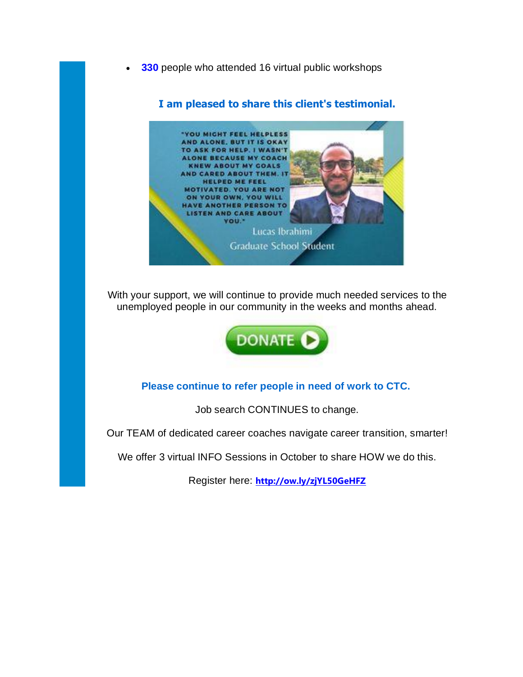**330** people who attended 16 virtual public workshops

## **I am pleased to share this client's testimonial.**



With your support, we will continue to provide much needed services to the unemployed people in our community in the weeks and months ahead.



## **Please continue to refer people in need of work to CTC.**

Job search CONTINUES to change.

Our TEAM of dedicated career coaches navigate career transition, smarter!

We offer 3 virtual INFO Sessions in October to share HOW we do this.

Register here: **<http://ow.ly/zjYL50GeHFZ>**